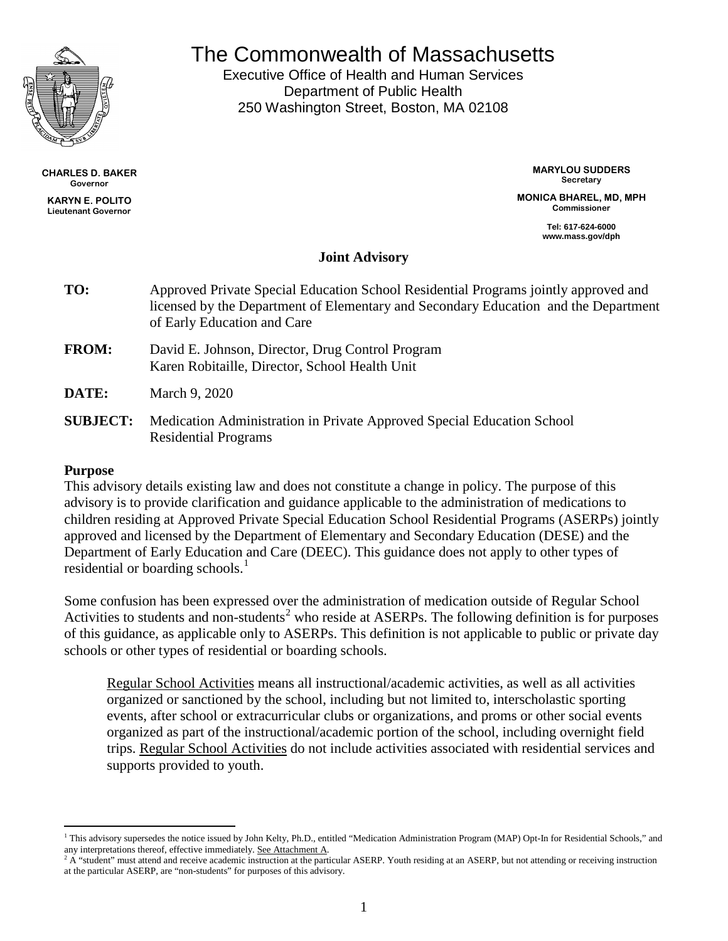

The Commonwealth of Massachusetts

Executive Office of Health and Human Services Department of Public Health 250 Washington Street, Boston, MA 02108

**CHARLES D. BAKER Governor**

**KARYN E. POLITO Lieutenant Governor** **MARYLOU SUDDERS Secretary**

**MONICA BHAREL, MD, MPH Commissioner**

> **Tel: 617-624-6000 www.mass.gov/dph**

# **Joint Advisory**

| TO:          | Approved Private Special Education School Residential Programs jointly approved and<br>licensed by the Department of Elementary and Secondary Education and the Department<br>of Early Education and Care |
|--------------|-----------------------------------------------------------------------------------------------------------------------------------------------------------------------------------------------------------|
| <b>FROM:</b> | David E. Johnson, Director, Drug Control Program<br>Karen Robitaille, Director, School Health Unit                                                                                                        |
| DATE:        | March 9, 2020                                                                                                                                                                                             |

**SUBJECT:** Medication Administration in Private Approved Special Education School Residential Programs

#### **Purpose**

This advisory details existing law and does not constitute a change in policy. The purpose of this advisory is to provide clarification and guidance applicable to the administration of medications to children residing at Approved Private Special Education School Residential Programs (ASERPs) jointly approved and licensed by the Department of Elementary and Secondary Education (DESE) and the Department of Early Education and Care (DEEC). This guidance does not apply to other types of residential or boarding schools. $<sup>1</sup>$  $<sup>1</sup>$  $<sup>1</sup>$ </sup>

Some confusion has been expressed over the administration of medication outside of Regular School Activities to students and non-students<sup>[2](#page-0-1)</sup> who reside at ASERPs. The following definition is for purposes of this guidance, as applicable only to ASERPs. This definition is not applicable to public or private day schools or other types of residential or boarding schools.

Regular School Activities means all instructional/academic activities, as well as all activities organized or sanctioned by the school, including but not limited to, interscholastic sporting events, after school or extracurricular clubs or organizations, and proms or other social events organized as part of the instructional/academic portion of the school, including overnight field trips. Regular School Activities do not include activities associated with residential services and supports provided to youth.

<span id="page-0-0"></span><sup>&</sup>lt;sup>1</sup> This advisory supersedes the notice issued by John Kelty, Ph.D., entitled "Medication Administration Program (MAP) Opt-In for Residential Schools," and any interpretations thereof, effective immediately. See Attachment A.  $\overline{a}$ 

<span id="page-0-1"></span> $2 \text{ Å}$  "student" must attend and receive academic instruction at the particular ASERP. Youth residing at an ASERP, but not attending or receiving instruction at the particular ASERP, are "non-students" for purposes of this advisory.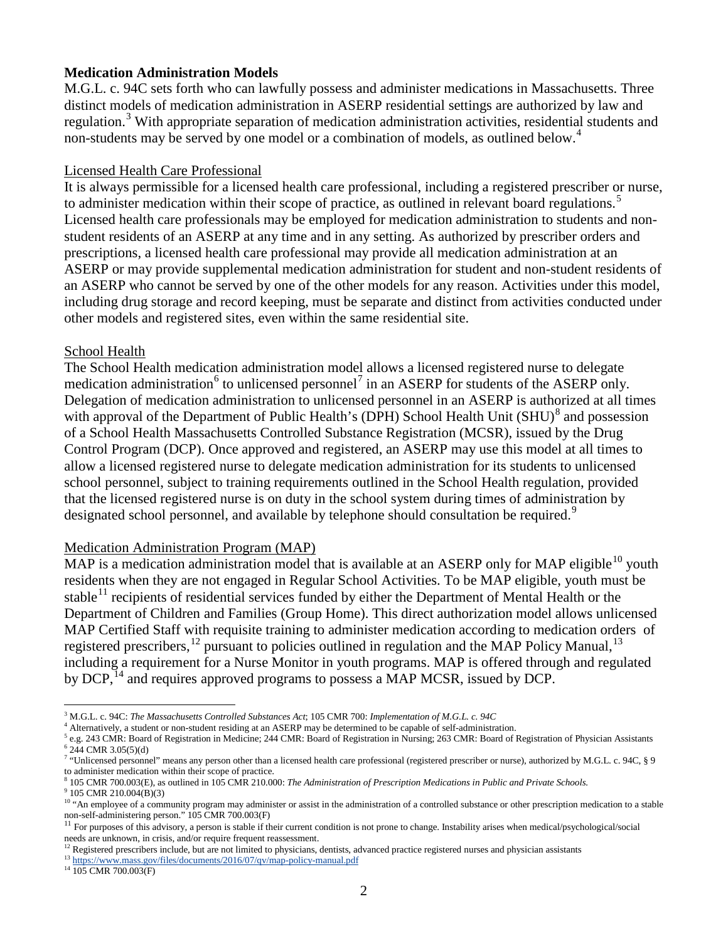#### **Medication Administration Models**

M.G.L. c. 94C sets forth who can lawfully possess and administer medications in Massachusetts. Three distinct models of medication administration in ASERP residential settings are authorized by law and regulation.<sup>[3](#page-1-0)</sup> With appropriate separation of medication administration activities, residential students and non-students may be served by one model or a combination of models, as outlined below.<sup>[4](#page-1-1)</sup>

#### Licensed Health Care Professional

It is always permissible for a licensed health care professional, including a registered prescriber or nurse, to administer medication within their scope of practice, as outlined in relevant board regulations.<sup>[5](#page-1-2)</sup> Licensed health care professionals may be employed for medication administration to students and nonstudent residents of an ASERP at any time and in any setting. As authorized by prescriber orders and prescriptions, a licensed health care professional may provide all medication administration at an ASERP or may provide supplemental medication administration for student and non-student residents of an ASERP who cannot be served by one of the other models for any reason. Activities under this model, including drug storage and record keeping, must be separate and distinct from activities conducted under other models and registered sites, even within the same residential site.

#### School Health

The School Health medication administration model allows a licensed registered nurse to delegate medication administration<sup>[6](#page-1-3)</sup> to unlicensed personnel<sup>[7](#page-1-4)</sup> in an ASERP for students of the ASERP only. Delegation of medication administration to unlicensed personnel in an ASERP is authorized at all times with approval of the Department of Public Health's (DPH) School Health Unit (SHU)<sup>[8](#page-1-5)</sup> and possession of a School Health Massachusetts Controlled Substance Registration (MCSR), issued by the Drug Control Program (DCP). Once approved and registered, an ASERP may use this model at all times to allow a licensed registered nurse to delegate medication administration for its students to unlicensed school personnel, subject to training requirements outlined in the School Health regulation, provided that the licensed registered nurse is on duty in the school system during times of administration by designated school personnel, and available by telephone should consultation be required.<sup>[9](#page-1-6)</sup>

#### Medication Administration Program (MAP)

MAP is a medication administration model that is available at an ASERP only for MAP eligible<sup>[10](#page-1-7)</sup> youth residents when they are not engaged in Regular School Activities. To be MAP eligible, youth must be stable<sup>[11](#page-1-8)</sup> recipients of residential services funded by either the Department of Mental Health or the Department of Children and Families (Group Home). This direct authorization model allows unlicensed MAP Certified Staff with requisite training to administer medication according to medication orders of registered prescribers,<sup>[12](#page-1-9)</sup> pursuant to policies outlined in regulation and the MAP Policy Manual,<sup>[13](#page-1-10)</sup> including a requirement for a Nurse Monitor in youth programs. MAP is offered through and regulated by DCP,<sup>[14](#page-1-11)</sup> and requires approved programs to possess a MAP MCSR, issued by DCP.

<sup>8</sup> 105 CMR 700.003(E), as outlined in 105 CMR 210.000: *The Administration of Prescription Medications in Public and Private Schools.*

<span id="page-1-6"></span><span id="page-1-5"></span><sup>9</sup> 105 CMR 210.004(B)(3)

 $\overline{a}$ 

<span id="page-1-2"></span>

<span id="page-1-1"></span><span id="page-1-0"></span><sup>&</sup>lt;sup>3</sup> M.G.L. c. 94C: *The Massachusetts Controlled Substances Act*; 105 CMR 700: *Implementation of M.G.L. c. 94C*<br><sup>4</sup> Alternatively, a student or non-student residing at an ASERP may be determined to be capable of self-adm

<span id="page-1-4"></span><span id="page-1-3"></span><sup>7</sup> "Unlicensed personnel" means any person other than a licensed health care professional (registered prescriber or nurse), authorized by M.G.L. c. 94C, § 9 to administer medication within their scope of practice.

<span id="page-1-7"></span><sup>&</sup>lt;sup>10</sup> "An employee of a community program may administer or assist in the administration of a controlled substance or other prescription medication to a stable non-self-administering person." 105 CMR 700.003(F)

<span id="page-1-8"></span> $11$  For purposes of this advisory, a person is stable if their current condition is not prone to change. Instability arises when medical/psychological/social needs are unknown, in crisis, and/or require frequent reassessment.

<sup>&</sup>lt;sup>12</sup> Registered prescribers include, but are not limited to physicians, dentists, advanced practice registered nurses and physician assistants

<span id="page-1-10"></span><span id="page-1-9"></span><sup>&</sup>lt;sup>13</sup> <https://www.mass.gov/files/documents/2016/07/qv/map-policy-manual.pdf>  $^{14}$  105 CMR 700.003(F)

<span id="page-1-11"></span>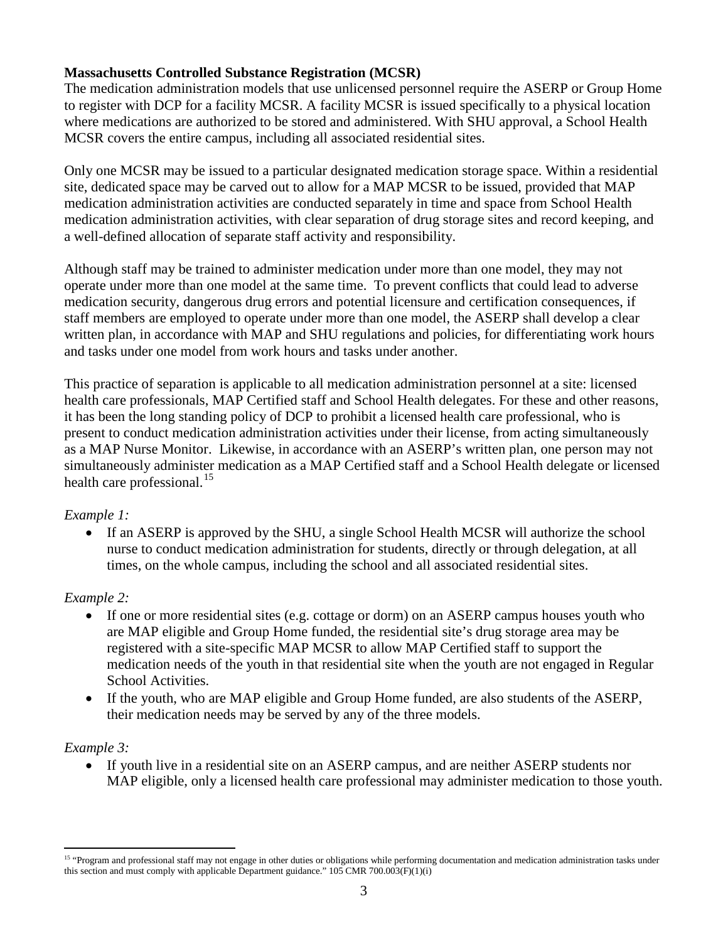## **Massachusetts Controlled Substance Registration (MCSR)**

The medication administration models that use unlicensed personnel require the ASERP or Group Home to register with DCP for a facility MCSR. A facility MCSR is issued specifically to a physical location where medications are authorized to be stored and administered. With SHU approval, a School Health MCSR covers the entire campus, including all associated residential sites.

Only one MCSR may be issued to a particular designated medication storage space. Within a residential site, dedicated space may be carved out to allow for a MAP MCSR to be issued, provided that MAP medication administration activities are conducted separately in time and space from School Health medication administration activities, with clear separation of drug storage sites and record keeping, and a well-defined allocation of separate staff activity and responsibility.

Although staff may be trained to administer medication under more than one model, they may not operate under more than one model at the same time. To prevent conflicts that could lead to adverse medication security, dangerous drug errors and potential licensure and certification consequences, if staff members are employed to operate under more than one model, the ASERP shall develop a clear written plan, in accordance with MAP and SHU regulations and policies, for differentiating work hours and tasks under one model from work hours and tasks under another.

This practice of separation is applicable to all medication administration personnel at a site: licensed health care professionals, MAP Certified staff and School Health delegates. For these and other reasons, it has been the long standing policy of DCP to prohibit a licensed health care professional, who is present to conduct medication administration activities under their license, from acting simultaneously as a MAP Nurse Monitor. Likewise, in accordance with an ASERP's written plan, one person may not simultaneously administer medication as a MAP Certified staff and a School Health delegate or licensed health care professional. $^{15}$  $^{15}$  $^{15}$ 

### *Example 1:*

• If an ASERP is approved by the SHU, a single School Health MCSR will authorize the school nurse to conduct medication administration for students, directly or through delegation, at all times, on the whole campus, including the school and all associated residential sites.

### *Example 2:*

- If one or more residential sites (e.g. cottage or dorm) on an ASERP campus houses youth who are MAP eligible and Group Home funded, the residential site's drug storage area may be registered with a site-specific MAP MCSR to allow MAP Certified staff to support the medication needs of the youth in that residential site when the youth are not engaged in Regular School Activities.
- If the youth, who are MAP eligible and Group Home funded, are also students of the ASERP, their medication needs may be served by any of the three models.

### *Example 3:*

• If youth live in a residential site on an ASERP campus, and are neither ASERP students nor MAP eligible, only a licensed health care professional may administer medication to those youth.

<span id="page-2-0"></span><sup>&</sup>lt;sup>15</sup> "Program and professional staff may not engage in other duties or obligations while performing documentation and medication administration tasks under this section and must comply with applicable Department guidance."  $105$  CMR 700.003(F)(1)(i)  $\overline{a}$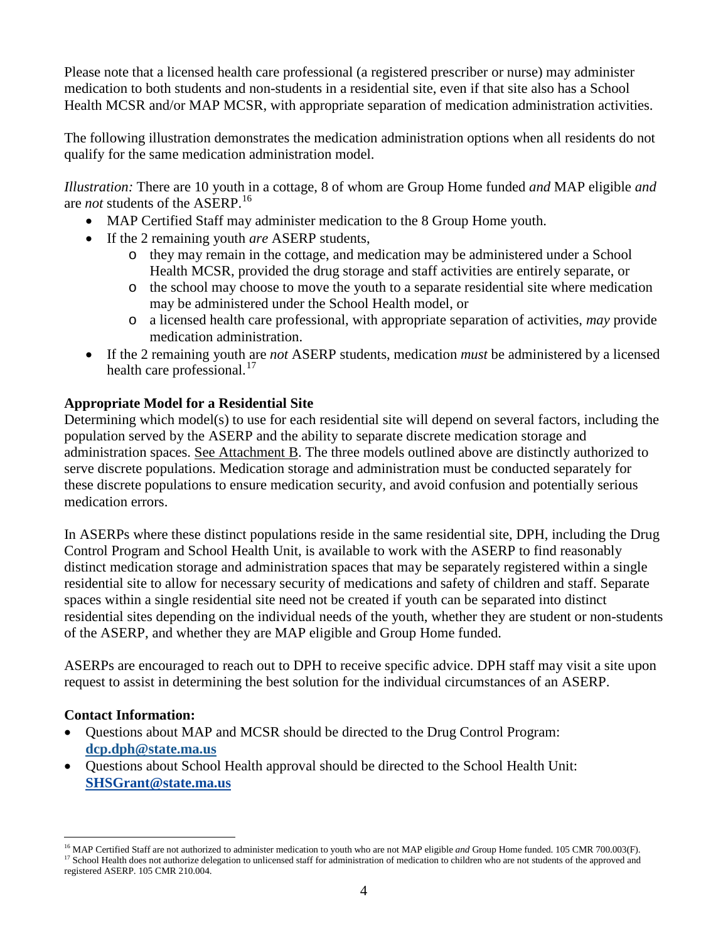Please note that a licensed health care professional (a registered prescriber or nurse) may administer medication to both students and non-students in a residential site, even if that site also has a School Health MCSR and/or MAP MCSR, with appropriate separation of medication administration activities.

The following illustration demonstrates the medication administration options when all residents do not qualify for the same medication administration model.

*Illustration:* There are 10 youth in a cottage, 8 of whom are Group Home funded *and* MAP eligible *and* are *not* students of the ASERP. [16](#page-3-0)

- MAP Certified Staff may administer medication to the 8 Group Home youth.
- If the 2 remaining youth *are* ASERP students,
	- o they may remain in the cottage, and medication may be administered under a School Health MCSR, provided the drug storage and staff activities are entirely separate, or
	- o the school may choose to move the youth to a separate residential site where medication may be administered under the School Health model, or
	- o a licensed health care professional, with appropriate separation of activities, *may* provide medication administration.
- If the 2 remaining youth are *not* ASERP students, medication *must* be administered by a licensed health care professional. [17](#page-3-1)

## **Appropriate Model for a Residential Site**

Determining which model(s) to use for each residential site will depend on several factors, including the population served by the ASERP and the ability to separate discrete medication storage and administration spaces. See Attachment B. The three models outlined above are distinctly authorized to serve discrete populations. Medication storage and administration must be conducted separately for these discrete populations to ensure medication security, and avoid confusion and potentially serious medication errors.

In ASERPs where these distinct populations reside in the same residential site, DPH, including the Drug Control Program and School Health Unit, is available to work with the ASERP to find reasonably distinct medication storage and administration spaces that may be separately registered within a single residential site to allow for necessary security of medications and safety of children and staff. Separate spaces within a single residential site need not be created if youth can be separated into distinct residential sites depending on the individual needs of the youth, whether they are student or non-students of the ASERP, and whether they are MAP eligible and Group Home funded.

ASERPs are encouraged to reach out to DPH to receive specific advice. DPH staff may visit a site upon request to assist in determining the best solution for the individual circumstances of an ASERP.

### **Contact Information:**

 $\overline{a}$ 

- Questions about MAP and MCSR should be directed to the Drug Control Program: **[dcp.dph@state.ma.us](mailto:dcp.dph@state.ma.us)**
- Questions about School Health approval should be directed to the School Health Unit: **[SHSGrant@state.ma.us](mailto:SHSGrant@state.ma.us)**

<span id="page-3-1"></span><span id="page-3-0"></span><sup>16</sup> MAP Certified Staff are not authorized to administer medication to youth who are not MAP eligible *and* Group Home funded. 105 CMR 700.003(F). <sup>17</sup> School Health does not authorize delegation to unlicensed staff for administration of medication to children who are not students of the approved and registered ASERP. 105 CMR 210.004.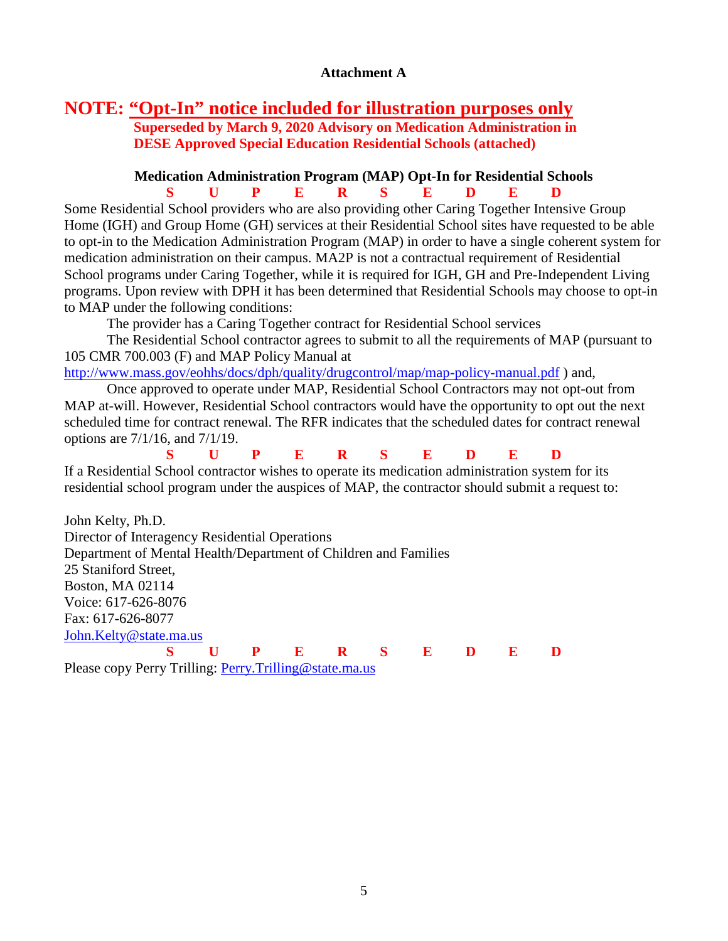#### **Attachment A**

## **NOTE: "Opt-In" notice included for illustration purposes only Superseded by March 9, 2020 Advisory on Medication Administration in DESE Approved Special Education Residential Schools (attached)**

# **Medication Administration Program (MAP) Opt-In for Residential Schools**

**S U P E R S E D E D** Some Residential School providers who are also providing other Caring Together Intensive Group Home (IGH) and Group Home (GH) services at their Residential School sites have requested to be able to opt-in to the Medication Administration Program (MAP) in order to have a single coherent system for medication administration on their campus. MA2P is not a contractual requirement of Residential School programs under Caring Together, while it is required for IGH, GH and Pre-Independent Living programs. Upon review with DPH it has been determined that Residential Schools may choose to opt-in to MAP under the following conditions:

The provider has a Caring Together contract for Residential School services

The Residential School contractor agrees to submit to all the requirements of MAP (pursuant to 105 CMR 700.003 (F) and MAP Policy Manual at

<http://www.mass.gov/eohhs/docs/dph/quality/drugcontrol/map/map-policy-manual.pdf> ) and,

Once approved to operate under MAP, Residential School Contractors may not opt-out from MAP at-will. However, Residential School contractors would have the opportunity to opt out the next scheduled time for contract renewal. The RFR indicates that the scheduled dates for contract renewal options are 7/1/16, and 7/1/19.

**S U P E R S E D E D** If a Residential School contractor wishes to operate its medication administration system for its residential school program under the auspices of MAP, the contractor should submit a request to:

John Kelty, Ph.D. Director of Interagency Residential Operations Department of Mental Health/Department of Children and Families 25 Staniford Street, Boston, MA 02114 Voice: 617-626-8076 Fax: 617-626-8077 [John.Kelty@state.ma.us](mailto:John.Kelty@state.ma.us) **S U P E R S E D E D**

Please copy Perry Trilling: [Perry.Trilling@state.ma.us](mailto:Perry.Trilling@state.ma.us)